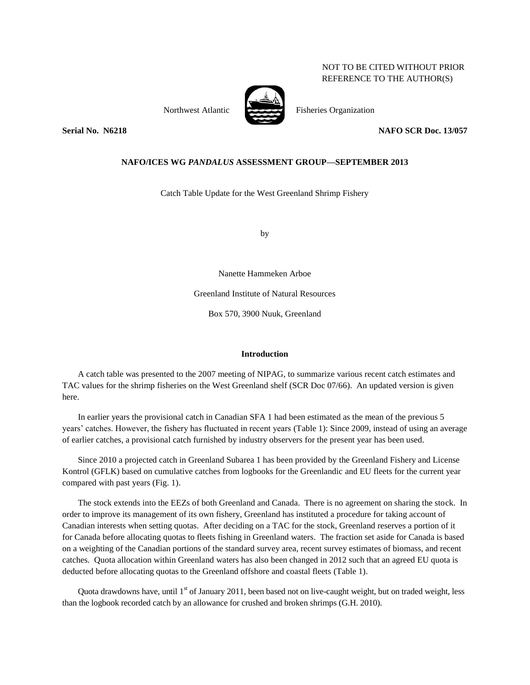# NOT TO BE CITED WITHOUT PRIOR REFERENCE TO THE AUTHOR(S)



Northwest Atlantic Fisheries Organization

**Serial No. N6218 NAFO SCR Doc. 13/057**

## **NAFO/ICES WG** *PANDALUS* **ASSESSMENT GROUP—SEPTEMBER 2013**

Catch Table Update for the West Greenland Shrimp Fishery

by

Nanette Hammeken Arboe

Greenland Institute of Natural Resources

Box 570, 3900 Nuuk, Greenland

### **Introduction**

A catch table was presented to the 2007 meeting of NIPAG, to summarize various recent catch estimates and TAC values for the shrimp fisheries on the West Greenland shelf (SCR Doc 07/66). An updated version is given here.

In earlier years the provisional catch in Canadian SFA 1 had been estimated as the mean of the previous 5 years' catches. However, the fishery has fluctuated in recent years (Table 1): Since 2009, instead of using an average of earlier catches, a provisional catch furnished by industry observers for the present year has been used.

Since 2010 a projected catch in Greenland Subarea 1 has been provided by the Greenland Fishery and License Kontrol (GFLK) based on cumulative catches from logbooks for the Greenlandic and EU fleets for the current year compared with past years (Fig. 1).

The stock extends into the EEZs of both Greenland and Canada. There is no agreement on sharing the stock. In order to improve its management of its own fishery, Greenland has instituted a procedure for taking account of Canadian interests when setting quotas. After deciding on a TAC for the stock, Greenland reserves a portion of it for Canada before allocating quotas to fleets fishing in Greenland waters. The fraction set aside for Canada is based on a weighting of the Canadian portions of the standard survey area, recent survey estimates of biomass, and recent catches. Quota allocation within Greenland waters has also been changed in 2012 such that an agreed EU quota is deducted before allocating quotas to the Greenland offshore and coastal fleets (Table 1).

Quota drawdowns have, until  $1<sup>st</sup>$  of January 2011, been based not on live-caught weight, but on traded weight, less than the logbook recorded catch by an allowance for crushed and broken shrimps (G.H. 2010).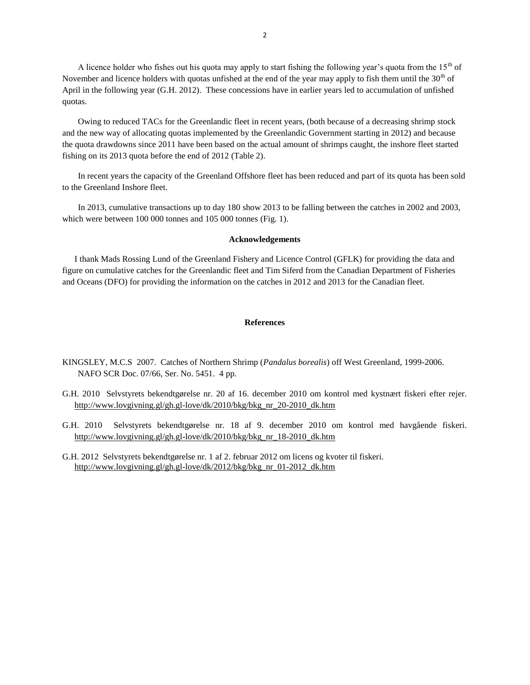A licence holder who fishes out his quota may apply to start fishing the following year's quota from the  $15<sup>th</sup>$  of November and licence holders with quotas unfished at the end of the year may apply to fish them until the  $30<sup>th</sup>$  of April in the following year (G.H. 2012). These concessions have in earlier years led to accumulation of unfished quotas.

Owing to reduced TACs for the Greenlandic fleet in recent years, (both because of a decreasing shrimp stock and the new way of allocating quotas implemented by the Greenlandic Government starting in 2012) and because the quota drawdowns since 2011 have been based on the actual amount of shrimps caught, the inshore fleet started fishing on its 2013 quota before the end of 2012 (Table 2).

In recent years the capacity of the Greenland Offshore fleet has been reduced and part of its quota has been sold to the Greenland Inshore fleet.

In 2013, cumulative transactions up to day 180 show 2013 to be falling between the catches in 2002 and 2003, which were between 100 000 tonnes and 105 000 tonnes (Fig. 1).

#### **Acknowledgements**

I thank Mads Rossing Lund of the Greenland Fishery and Licence Control (GFLK) for providing the data and figure on cumulative catches for the Greenlandic fleet and Tim Siferd from the Canadian Department of Fisheries and Oceans (DFO) for providing the information on the catches in 2012 and 2013 for the Canadian fleet.

### **References**

- KINGSLEY, M.C.S 2007. Catches of Northern Shrimp (*Pandalus borealis*) off West Greenland, 1999-2006. NAFO SCR Doc. 07/66, Ser. No. 5451. 4 pp.
- G.H. 2010 Selvstyrets bekendtgørelse nr. 20 af 16. december 2010 om kontrol med kystnært fiskeri efter rejer. [http://www.lovgivning.gl/gh.gl-love/dk/2010/bkg/bkg\\_nr\\_20-2010\\_dk.htm](http://www.lovgivning.gl/gh.gl-love/dk/2010/bkg/bkg_nr_20-2010_dk.htm)
- G.H. 2010 Selvstyrets bekendtgørelse nr. 18 af 9. december 2010 om kontrol med havgående fiskeri. [http://www.lovgivning.gl/gh.gl-love/dk/2010/bkg/bkg\\_nr\\_18-2010\\_dk.htm](http://www.lovgivning.gl/gh.gl-love/dk/2010/bkg/bkg_nr_18-2010_dk.htm)
- G.H. 2012 Selvstyrets bekendtgørelse nr. 1 af 2. februar 2012 om licens og kvoter til fiskeri. [http://www.lovgivning.gl/gh.gl-love/dk/2012/bkg/bkg\\_nr\\_01-2012\\_dk.htm](http://www.lovgivning.gl/gh.gl-love/dk/2012/bkg/bkg_nr_01-2012_dk.htm)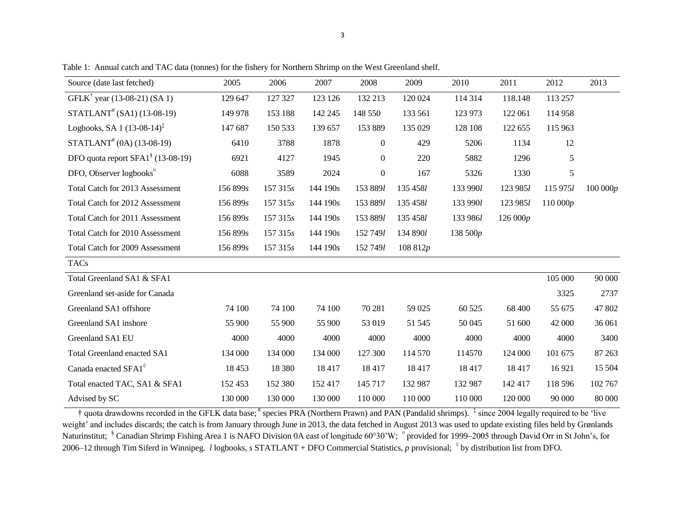| Source (date last fetched)                    | 2005     | 2006     | 2007     | 2008           | 2009        | 2010     | 2011     | 2012     | 2013    |
|-----------------------------------------------|----------|----------|----------|----------------|-------------|----------|----------|----------|---------|
| GFLK <sup>†</sup> year (13-08-21) (SA 1)      | 129 647  | 127 327  | 123 126  | 132 213        | 120 024     | 114 314  | 118.148  | 113 257  |         |
| $STATLANT# (SA1) (13-08-19)$                  | 149 978  | 153 188  | 142 245  | 148 550        | 133 561     | 123 973  | 122 061  | 114 958  |         |
| Logbooks, SA 1 $(13-08-14)^{\frac{1}{4}}$     | 147 687  | 150 533  | 139 657  | 153 889        | 135 029     | 128 108  | 122 655  | 115 963  |         |
| $STATLANT# (0A) (13-08-19)$                   | 6410     | 3788     | 1878     | $\theta$       | 429         | 5206     | 1134     | 12       |         |
| DFO quota report SFA1 <sup>§</sup> (13-08-19) | 6921     | 4127     | 1945     | $\overline{0}$ | 220         | 5882     | 1296     | 5        |         |
| DFO, Observer logbooks <sup>¤</sup>           | 6088     | 3589     | 2024     | $\overline{0}$ | 167         | 5326     | 1330     | 5        |         |
| Total Catch for 2013 Assessment               | 156 899s | 157 315s | 144 190s | 153 8891       | 135 4581    | 133 990l | 123 9851 | 115 9751 | 100000p |
| Total Catch for 2012 Assessment               | 156 899s | 157 315s | 144 190s | 153 8891       | 135 4581    | 133 990l | 123 9851 | 110 000p |         |
| Total Catch for 2011 Assessment               | 156 899s | 157 315s | 144 190s | 153 8891       | 135 4581    | 133 9861 | 126 000p |          |         |
| Total Catch for 2010 Assessment               | 156 899s | 157 315s | 144 190s | 152 7491       | 134 890 $l$ | 138 500p |          |          |         |
| Total Catch for 2009 Assessment               | 156 899s | 157 315s | 144 190s | 152 7491       | 108812p     |          |          |          |         |
| <b>TACs</b>                                   |          |          |          |                |             |          |          |          |         |
| Total Greenland SA1 & SFA1                    |          |          |          |                |             |          |          | 105 000  | 90 000  |
| Greenland set-aside for Canada                |          |          |          |                |             |          |          | 3325     | 2737    |
| Greenland SA1 offshore                        | 74 100   | 74 100   | 74 100   | 70 281         | 59 025      | 60 525   | 68 400   | 55 675   | 47 802  |
| Greenland SA1 inshore                         | 55 900   | 55 900   | 55 900   | 53 019         | 51 545      | 50 045   | 51 600   | 42 000   | 36 061  |
| Greenland SA1 EU                              | 4000     | 4000     | 4000     | 4000           | 4000        | 4000     | 4000     | 4000     | 3400    |
| Total Greenland enacted SA1                   | 134 000  | 134 000  | 134 000  | 127 300        | 114 570     | 114570   | 124 000  | 101 675  | 87 263  |
| Canada enacted SFA1 <sup>°</sup>              | 18 4 53  | 18 3 8 0 | 18 417   | 18417          | 18417       | 18417    | 18417    | 16921    | 15 504  |
| Total enacted TAC, SA1 & SFA1                 | 152 453  | 152 380  | 152 417  | 145 717        | 132 987     | 132 987  | 142 417  | 118 596  | 102 767 |
| Advised by SC                                 | 130 000  | 130 000  | 130 000  | 110 000        | 110 000     | 110 000  | 120 000  | 90 000   | 80 000  |

Table 1: Annual catch and TAC data (tonnes) for the fishery for Northern Shrimp on the West Greenland shelf.

<sup>†</sup> quota drawdowns recorded in the GFLK data base;<sup>#</sup> species PRA (Northern Prawn) and PAN (Pandalid shrimps). <sup>‡</sup> since 2004 legally required to be 'live weight' and includes discards; the catch is from January through June in 2013, the data fetched in August 2013 was used to update existing files held by Grønlands Naturinstitut; <sup>§</sup> Canadian Shrimp Fishing Area 1 is NAFO Division 0A east of longitude 60°30'W; <sup>¤</sup> provided for 1999–2005 through David Orr in St John's, for 2006–12 through Tim Siferd in Winnipeg. *l* logbooks*, s* STATLANT + DFO Commercial Statistics*, p* provisional; by distribution list from DFO.